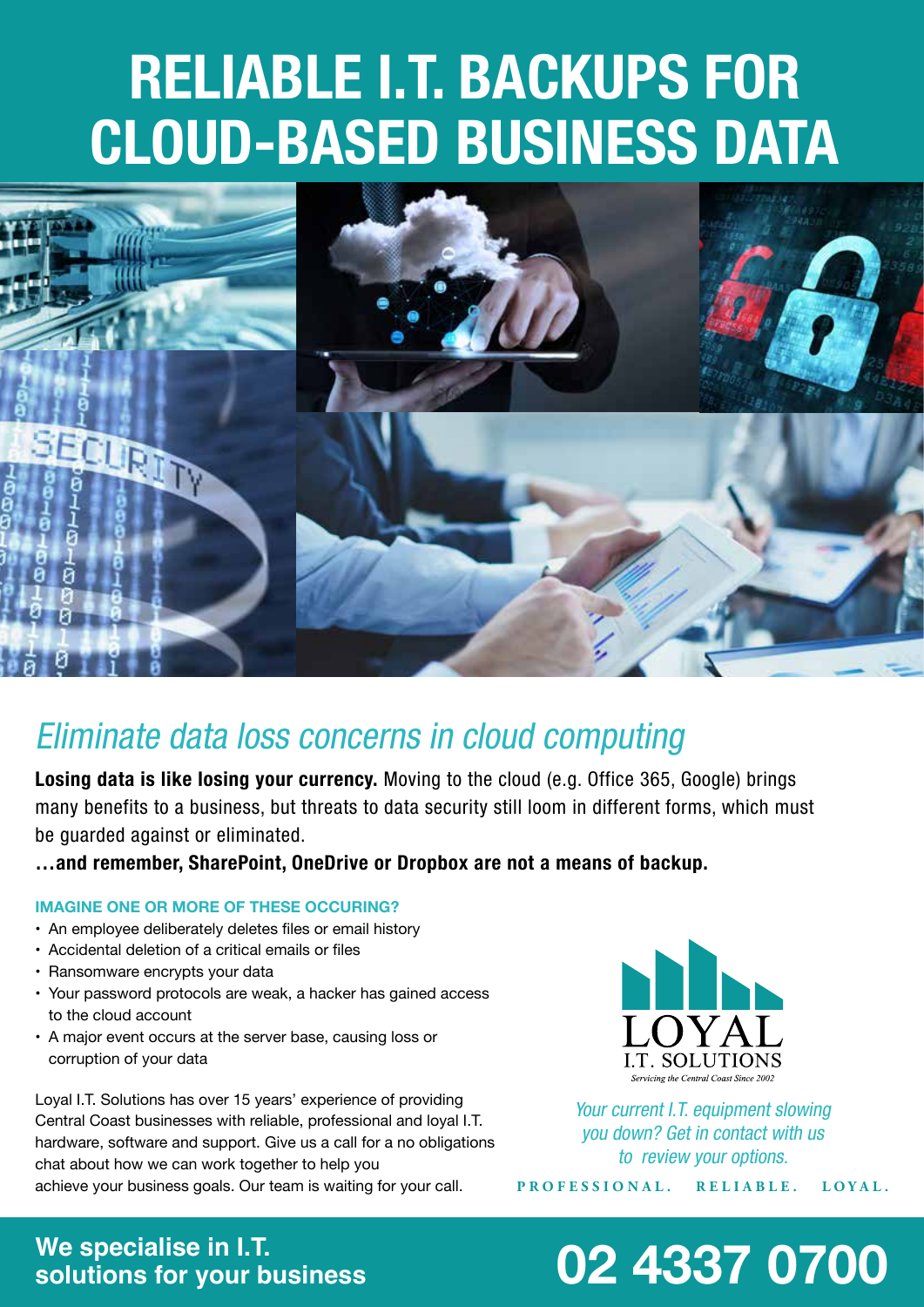# **RELIABLE I.T. BACKUPS FOR CLOUD-BASED BUSINESS DATA**



## *Eliminate data loss concerns in cloud computing*

**Losing data is like losing your currency.** *Moving to the cloud (e.g. Office 365, Google) brings many benefits to a business, but threats to data security still loom in different forms, which must be guarded against or eliminated.*

**…and remember, SharePoint, OneDrive or Dropbox are not a means of backup.**

#### **IMAGINE ONE OR MORE OF THESE OCCURING?**

- An employee deliberately deletes files or email history
- • Accidental deletion of a critical emails or files
- Ransomware encrypts your data
- Your password protocols are weak, a hacker has gained access to the cloud account
- A major event occurs at the server base, causing loss or corruption of your data

Loyal I.T. Solutions has over 15 years' experience of providing Central Coast businesses with reliable, professional and loyal I.T. hardware, software and support. Give us a call for a no obligations chat about how we can work together to help you achieve your business goals. Our team is waiting for your call.



*Your current I.T. equipment slowing you down? Get in contact with us to review your options.*

**PROFESSIONAL. RELIABLE. LOYAL.**

## **We specialise in I.T.**

## **solutions for your business 02 4337 0700**